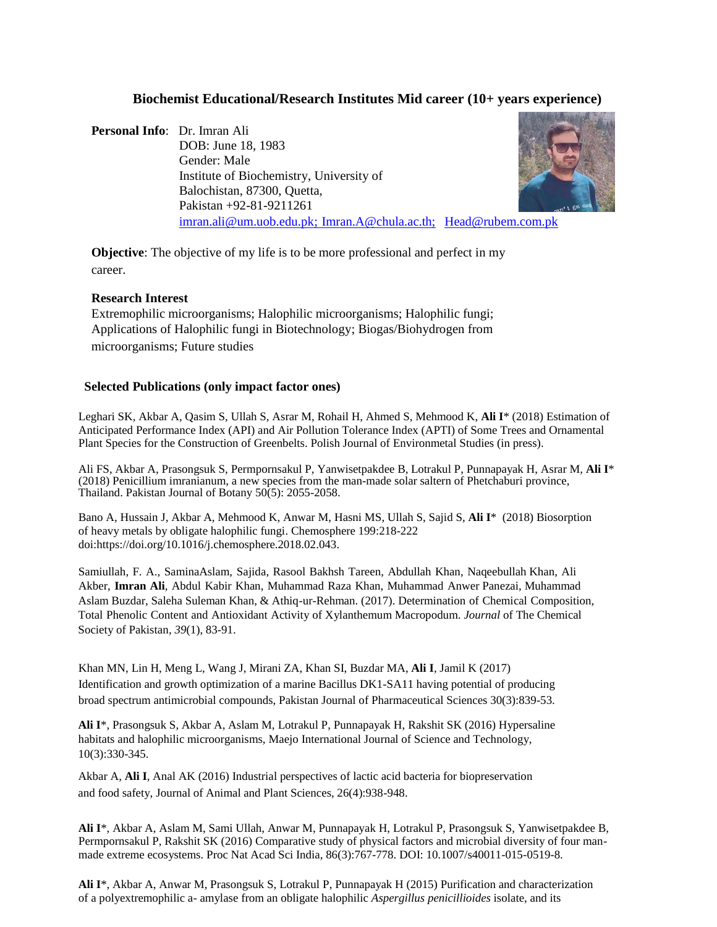# **Biochemist Educational/Research Institutes Mid career (10+ years experience)**

**Personal Info**: Dr. Imran Ali DOB: June 18, 1983 Gender: Male Institute of Biochemistry, University of Balochistan, 87300, Quetta, Pakistan +92-81-9211261 imran.ali@um.uob.edu.pk; Imran.A@chula.ac.th; [Head@rubem.com.pk](mailto:Head@rubem.com.pk)



**Objective**: The objective of my life is to be more professional and perfect in my career.

## **Research Interest**

Extremophilic microorganisms; Halophilic microorganisms; Halophilic fungi; Applications of Halophilic fungi in Biotechnology; Biogas/Biohydrogen from microorganisms; Future studies

## **Selected Publications (only impact factor ones)**

Leghari SK, Akbar A, Qasim S, Ullah S, Asrar M, Rohail H, Ahmed S, Mehmood K, **Ali I**\* (2018) Estimation of Anticipated Performance Index (API) and Air Pollution Tolerance Index (APTI) of Some Trees and Ornamental Plant Species for the Construction of Greenbelts. Polish Journal of Environmetal Studies (in press).

Ali FS, Akbar A, Prasongsuk S, Permpornsakul P, Yanwisetpakdee B, Lotrakul P, Punnapayak H, Asrar M, **Ali I**\* (2018) Penicillium imranianum, a new species from the man-made solar saltern of Phetchaburi province, Thailand. Pakistan Journal of Botany 50(5): 2055-2058.

Bano A, Hussain J, Akbar A, Mehmood K, Anwar M, Hasni MS, Ullah S, Sajid S, **Ali I**\* (2018) Biosorption of heavy metals by obligate halophilic fungi. Chemosphere 199:218-222 doi[:https://doi.org/10.1016/j.chemosphere.2018.02.043.](https://doi.org/10.1016/j.chemosphere.2018.02.043)

Samiullah, F. A., SaminaAslam, Sajida, Rasool Bakhsh Tareen, Abdullah Khan, Naqeebullah Khan, Ali Akber, **Imran Ali**, Abdul Kabir Khan, Muhammad Raza Khan, Muhammad Anwer Panezai, Muhammad Aslam Buzdar, Saleha Suleman Khan, & Athiq-ur-Rehman. (2017). Determination of Chemical Composition, Total Phenolic Content and Antioxidant Activity of Xylanthemum Macropodum. *Journal* of The Chemical Society of Pakistan*, 39*(1), 83-91.

Khan MN, Lin H, Meng L, Wang J, Mirani ZA, Khan SI, Buzdar MA, **Ali I**, Jamil K (2017) Identification and growth optimization of a marine Bacillus DK1-SA11 having potential of producing broad spectrum antimicrobial compounds, Pakistan Journal of Pharmaceutical Sciences 30(3):839-53.

**Ali I**\*, Prasongsuk S, Akbar A, Aslam M, Lotrakul P, Punnapayak H, Rakshit SK (2016) Hypersaline habitats and halophilic microorganisms, Maejo International Journal of Science and Technology, 10(3):330-345.

Akbar A, **Ali I**, Anal AK (2016) Industrial perspectives of lactic acid bacteria for biopreservation and food safety, Journal of Animal and Plant Sciences, 26(4):938-948.

**Ali I**\*, Akbar A, Aslam M, Sami Ullah, Anwar M, Punnapayak H, Lotrakul P, Prasongsuk S, Yanwisetpakdee B, Permpornsakul P, Rakshit SK (2016) Comparative study of physical factors and microbial diversity of four manmade extreme ecosystems. Proc Nat Acad Sci India, 86(3):767-778. DOI: 10.1007/s40011-015-0519-8.

**Ali I**\*, Akbar A, Anwar M, Prasongsuk S, Lotrakul P, Punnapayak H (2015) Purification and characterization of a polyextremophilic a- amylase from an obligate halophilic *Aspergillus penicillioides* isolate, and its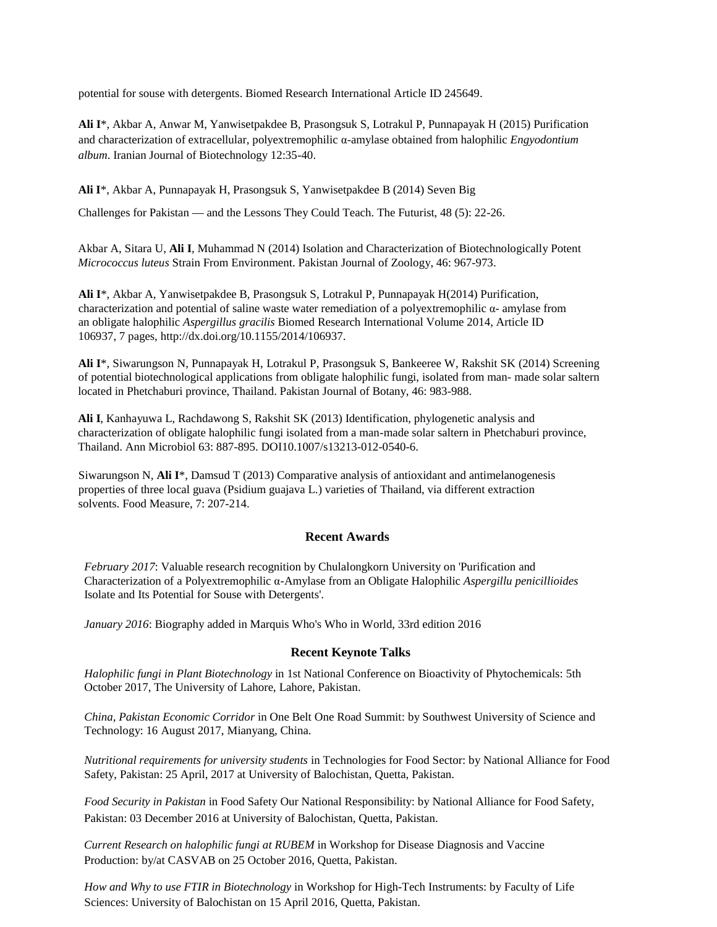potential for souse with detergents. Biomed Research International Article ID 245649.

**Ali I**\*, Akbar A, Anwar M, Yanwisetpakdee B, Prasongsuk S, Lotrakul P, Punnapayak H (2015) Purification and characterization of extracellular, polyextremophilic α-amylase obtained from halophilic *Engyodontium album*. Iranian Journal of Biotechnology 12:35-40.

**Ali I**\*, Akbar A, Punnapayak H, Prasongsuk S, Yanwisetpakdee B (2014) Seven Big

Challenges for Pakistan — and the Lessons They Could Teach. The Futurist, 48 (5): 22-26.

Akbar A, Sitara U, **Ali I**, Muhammad N (2014) Isolation and Characterization of Biotechnologically Potent *Micrococcus luteus* Strain From Environment. Pakistan Journal of Zoology, 46: 967-973.

**Ali I**\*, Akbar A, Yanwisetpakdee B, Prasongsuk S, Lotrakul P, Punnapayak H(2014) Purification, characterization and potential of saline waste water remediation of a polyextremophilic  $\alpha$ - amylase from an obligate halophilic *Aspergillus gracilis* Biomed Research International Volume 2014, Article ID 106937, 7 pages, [http://dx.doi.org/10.1155/2014/106937.](http://dx.doi.org/10.1155/2014/106937)

**Ali I**\*, Siwarungson N, Punnapayak H, Lotrakul P, Prasongsuk S, Bankeeree W, Rakshit SK (2014) Screening of potential biotechnological applications from obligate halophilic fungi, isolated from man- made solar saltern located in Phetchaburi province, Thailand. Pakistan Journal of Botany, 46: 983-988.

**Ali I**, Kanhayuwa L, Rachdawong S, Rakshit SK (2013) Identification, phylogenetic analysis and characterization of obligate halophilic fungi isolated from a man-made solar saltern in Phetchaburi province, Thailand. Ann Microbiol 63: 887-895. DOI10.1007/s13213-012-0540-6.

Siwarungson N, **Ali I**\*, Damsud T (2013) Comparative analysis of antioxidant and antimelanogenesis properties of three local guava (Psidium guajava L.) varieties of Thailand, via different extraction solvents. Food Measure, 7: 207-214.

## **Recent Awards**

*February 2017*: Valuable research recognition by Chulalongkorn University on 'Purification and Characterization of a Polyextremophilic α-Amylase from an Obligate Halophilic *Aspergillu penicillioides* Isolate and Its Potential for Souse with Detergents'.

*January 2016*: Biography added in Marquis Who's Who in World, 33rd edition 2016

## **Recent Keynote Talks**

*Halophilic fungi in Plant Biotechnology* in 1st National Conference on Bioactivity of Phytochemicals: 5th October 2017, The University of Lahore, Lahore, Pakistan.

*China, Pakistan Economic Corridor* in One Belt One Road Summit: by Southwest University of Science and Technology: 16 August 2017, Mianyang, China.

*Nutritional requirements for university students* in Technologies for Food Sector: by National Alliance for Food Safety, Pakistan: 25 April, 2017 at University of Balochistan, Quetta, Pakistan.

*Food Security in Pakistan* in Food Safety Our National Responsibility: by National Alliance for Food Safety, Pakistan: 03 December 2016 at University of Balochistan, Quetta, Pakistan.

*Current Research on halophilic fungi at RUBEM* in Workshop for Disease Diagnosis and Vaccine Production: by/at CASVAB on 25 October 2016, Quetta, Pakistan.

*How and Why to use FTIR in Biotechnology* in Workshop for High-Tech Instruments: by Faculty of Life Sciences: University of Balochistan on 15 April 2016, Quetta, Pakistan.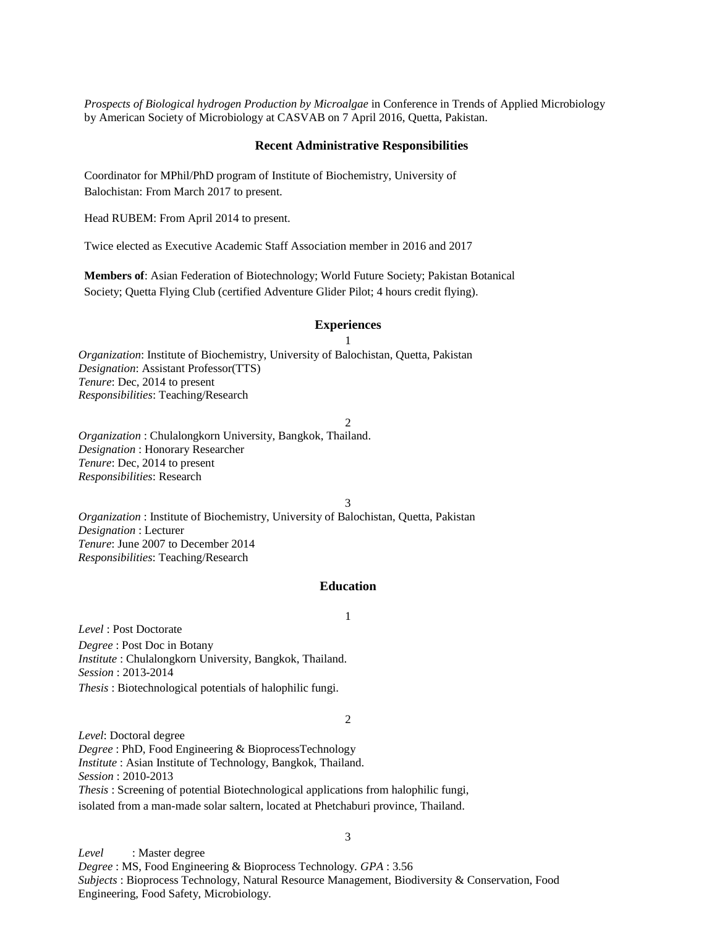*Prospects of Biological hydrogen Production by Microalgae* in Conference in Trends of Applied Microbiology by American Society of Microbiology at CASVAB on 7 April 2016, Quetta, Pakistan.

#### **Recent Administrative Responsibilities**

Coordinator for MPhil/PhD program of Institute of Biochemistry, University of Balochistan: From March 2017 to present.

Head RUBEM: From April 2014 to present.

Twice elected as Executive Academic Staff Association member in 2016 and 2017

**Members of**: Asian Federation of Biotechnology; World Future Society; Pakistan Botanical Society; Quetta Flying Club (certified Adventure Glider Pilot; 4 hours credit flying).

### **Experiences**

1 *Organization*: Institute of Biochemistry, University of Balochistan, Quetta, Pakistan *Designation*: Assistant Professor(TTS) *Tenure*: Dec, 2014 to present *Responsibilities*: Teaching/Research

2

*Organization* : Chulalongkorn University, Bangkok, Thailand. *Designation* : Honorary Researcher *Tenure*: Dec, 2014 to present *Responsibilities*: Research

3

*Organization* : Institute of Biochemistry, University of Balochistan, Quetta, Pakistan *Designation* : Lecturer *Tenure*: June 2007 to December 2014 *Responsibilities*: Teaching/Research

#### **Education**

1

*Level* : Post Doctorate

*Degree* : Post Doc in Botany *Institute* : Chulalongkorn University, Bangkok, Thailand. *Session* : 2013-2014 *Thesis* : Biotechnological potentials of halophilic fungi.

2

*Level*: Doctoral degree *Degree* : PhD, Food Engineering & BioprocessTechnology *Institute* : Asian Institute of Technology, Bangkok, Thailand. *Session* : 2010-2013 *Thesis* : Screening of potential Biotechnological applications from halophilic fungi, isolated from a man-made solar saltern, located at Phetchaburi province, Thailand.

*Level* : Master degree *Degree* : MS, Food Engineering & Bioprocess Technology*. GPA* : 3.56 *Subjects* : Bioprocess Technology, Natural Resource Management, Biodiversity & Conservation, Food Engineering, Food Safety, Microbiology.

3